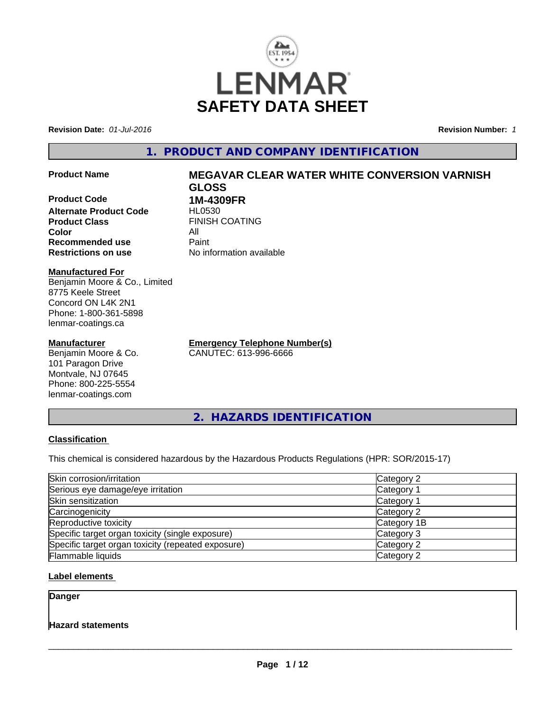

**Revision Date:** *01-Jul-2016* **Revision Number:** *1*

# **1. PRODUCT AND COMPANY IDENTIFICATION**

**Product Code 1M-4309FR Alternate Product Code HL0530**<br>**Product Class** FINISH **Color Recommended use** Paint<br> **Restrictions on use** No inf

# **Product Name MEGAVAR CLEAR WATER WHITE CONVERSION VARNISH GLOSS**

**FINISH COATING**<br>All **No information available** 

# **Manufactured For**

Benjamin Moore & Co., Limited 8775 Keele Street Concord ON L4K 2N1 Phone: 1-800-361-5898 lenmar-coatings.ca

#### **Manufacturer**

Benjamin Moore & Co. 101 Paragon Drive Montvale, NJ 07645 Phone: 800-225-5554 lenmar-coatings.com

**Emergency Telephone Number(s)** CANUTEC: 613-996-6666

**2. HAZARDS IDENTIFICATION**

### **Classification**

This chemical is considered hazardous by the Hazardous Products Regulations (HPR: SOR/2015-17)

| Skin corrosion/irritation                          | Category 2  |  |
|----------------------------------------------------|-------------|--|
| Serious eye damage/eye irritation                  | Category 1  |  |
| Skin sensitization                                 | Category 1  |  |
| Carcinogenicity                                    | Category 2  |  |
| Reproductive toxicity                              | Category 1B |  |
| Specific target organ toxicity (single exposure)   | Category 3  |  |
| Specific target organ toxicity (repeated exposure) | Category 2  |  |
| Flammable liquids                                  | Category 2  |  |

### **Label elements**

**Danger**

#### **Hazard statements**

 $\overline{\phantom{a}}$  ,  $\overline{\phantom{a}}$  ,  $\overline{\phantom{a}}$  ,  $\overline{\phantom{a}}$  ,  $\overline{\phantom{a}}$  ,  $\overline{\phantom{a}}$  ,  $\overline{\phantom{a}}$  ,  $\overline{\phantom{a}}$  ,  $\overline{\phantom{a}}$  ,  $\overline{\phantom{a}}$  ,  $\overline{\phantom{a}}$  ,  $\overline{\phantom{a}}$  ,  $\overline{\phantom{a}}$  ,  $\overline{\phantom{a}}$  ,  $\overline{\phantom{a}}$  ,  $\overline{\phantom{a}}$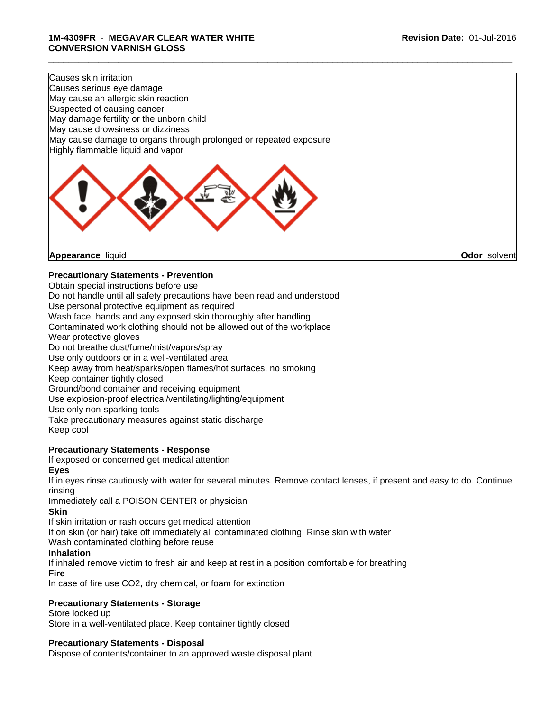Causes skin irritation Causes serious eye damage May cause an allergic skin reaction Suspected of causing cancer May damage fertility or the unborn child May cause drowsiness or dizziness May cause damage to organs through prolonged or repeated exposure Highly flammable liquid and vapor



**Appearance** liquid **Odor** solvent

# **Precautionary Statements - Prevention**

Obtain special instructions before use Do not handle until all safety precautions have been read and understood Use personal protective equipment as required Wash face, hands and any exposed skin thoroughly after handling Contaminated work clothing should not be allowed out of the workplace Wear protective gloves Do not breathe dust/fume/mist/vapors/spray Use only outdoors or in a well-ventilated area Keep away from heat/sparks/open flames/hot surfaces, no smoking Keep container tightly closed Ground/bond container and receiving equipment Use explosion-proof electrical/ventilating/lighting/equipment Use only non-sparking tools Take precautionary measures against static discharge Keep cool

# **Precautionary Statements - Response**

If exposed or concerned get medical attention

**Eyes**

If in eyes rinse cautiously with water for several minutes. Remove contact lenses, if present and easy to do. Continue rinsing

\_\_\_\_\_\_\_\_\_\_\_\_\_\_\_\_\_\_\_\_\_\_\_\_\_\_\_\_\_\_\_\_\_\_\_\_\_\_\_\_\_\_\_\_\_\_\_\_\_\_\_\_\_\_\_\_\_\_\_\_\_\_\_\_\_\_\_\_\_\_\_\_\_\_\_\_\_\_\_\_\_\_\_\_\_\_\_\_\_\_\_\_\_

Immediately call a POISON CENTER or physician

**Skin**

If skin irritation or rash occurs get medical attention

If on skin (or hair) take off immediately all contaminated clothing. Rinse skin with water

Wash contaminated clothing before reuse

### **Inhalation**

If inhaled remove victim to fresh air and keep at rest in a position comfortable for breathing

#### **Fire**

In case of fire use CO2, dry chemical, or foam for extinction

# **Precautionary Statements - Storage**

Store locked up Store in a well-ventilated place. Keep container tightly closed

# **Precautionary Statements - Disposal**

Dispose of contents/container to an approved waste disposal plant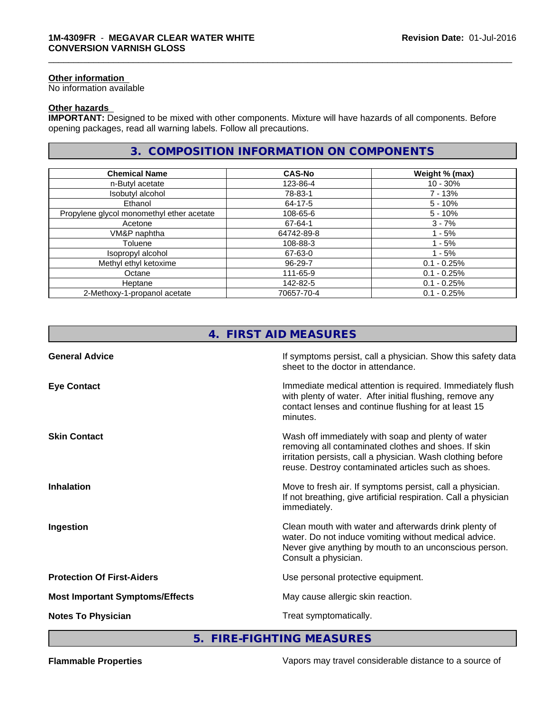#### **Other information**

No information available

# **Other hazards**

**IMPORTANT:** Designed to be mixed with other components. Mixture will have hazards of all components. Before opening packages, read all warning labels. Follow all precautions.

# **3. COMPOSITION INFORMATION ON COMPONENTS**

\_\_\_\_\_\_\_\_\_\_\_\_\_\_\_\_\_\_\_\_\_\_\_\_\_\_\_\_\_\_\_\_\_\_\_\_\_\_\_\_\_\_\_\_\_\_\_\_\_\_\_\_\_\_\_\_\_\_\_\_\_\_\_\_\_\_\_\_\_\_\_\_\_\_\_\_\_\_\_\_\_\_\_\_\_\_\_\_\_\_\_\_\_

| <b>Chemical Name</b>                      | <b>CAS-No</b> | Weight % (max) |
|-------------------------------------------|---------------|----------------|
| n-Butyl acetate                           | 123-86-4      | $10 - 30%$     |
| Isobutyl alcohol                          | 78-83-1       | 7 - 13%        |
| Ethanol                                   | 64-17-5       | $5 - 10\%$     |
| Propylene glycol monomethyl ether acetate | 108-65-6      | $5 - 10%$      |
| Acetone                                   | 67-64-1       | $3 - 7%$       |
| VM&P naphtha                              | 64742-89-8    | 1 - 5%         |
| Toluene                                   | 108-88-3      | $1 - 5%$       |
| Isopropyl alcohol                         | 67-63-0       | $1 - 5%$       |
| Methyl ethyl ketoxime                     | 96-29-7       | $0.1 - 0.25%$  |
| Octane                                    | 111-65-9      | $0.1 - 0.25%$  |
| Heptane                                   | 142-82-5      | $0.1 - 0.25%$  |
| 2-Methoxy-1-propanol acetate              | 70657-70-4    | $0.1 - 0.25%$  |

|                                        | 4. FIRST AID MEASURES                                                                                                                                                                                                            |
|----------------------------------------|----------------------------------------------------------------------------------------------------------------------------------------------------------------------------------------------------------------------------------|
| <b>General Advice</b>                  | If symptoms persist, call a physician. Show this safety data<br>sheet to the doctor in attendance.                                                                                                                               |
| <b>Eye Contact</b>                     | Immediate medical attention is required. Immediately flush<br>with plenty of water. After initial flushing, remove any<br>contact lenses and continue flushing for at least 15<br>minutes.                                       |
| <b>Skin Contact</b>                    | Wash off immediately with soap and plenty of water<br>removing all contaminated clothes and shoes. If skin<br>irritation persists, call a physician. Wash clothing before<br>reuse. Destroy contaminated articles such as shoes. |
| <b>Inhalation</b>                      | Move to fresh air. If symptoms persist, call a physician.<br>If not breathing, give artificial respiration. Call a physician<br>immediately.                                                                                     |
| Ingestion                              | Clean mouth with water and afterwards drink plenty of<br>water. Do not induce vomiting without medical advice.<br>Never give anything by mouth to an unconscious person.<br>Consult a physician.                                 |
| <b>Protection Of First-Aiders</b>      | Use personal protective equipment.                                                                                                                                                                                               |
| <b>Most Important Symptoms/Effects</b> | May cause allergic skin reaction.                                                                                                                                                                                                |
| <b>Notes To Physician</b>              | Treat symptomatically.                                                                                                                                                                                                           |

**5. FIRE-FIGHTING MEASURES**

**Flammable Properties** Vapors may travel considerable distance to a source of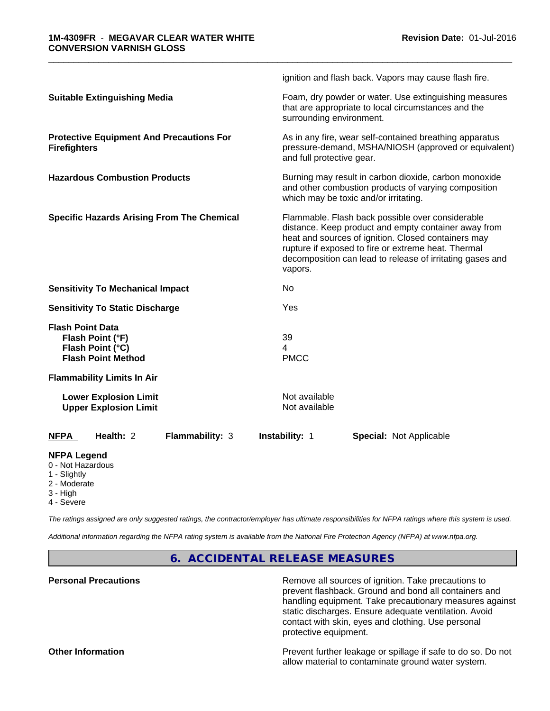|                                                                                              |                 |                                | ignition and flash back. Vapors may cause flash fire.                                                                                                                                                                                                                               |  |  |
|----------------------------------------------------------------------------------------------|-----------------|--------------------------------|-------------------------------------------------------------------------------------------------------------------------------------------------------------------------------------------------------------------------------------------------------------------------------------|--|--|
| <b>Suitable Extinguishing Media</b>                                                          |                 | surrounding environment.       | Foam, dry powder or water. Use extinguishing measures<br>that are appropriate to local circumstances and the                                                                                                                                                                        |  |  |
| <b>Protective Equipment And Precautions For</b><br><b>Firefighters</b>                       |                 | and full protective gear.      | As in any fire, wear self-contained breathing apparatus<br>pressure-demand, MSHA/NIOSH (approved or equivalent)                                                                                                                                                                     |  |  |
| <b>Hazardous Combustion Products</b>                                                         |                 |                                | Burning may result in carbon dioxide, carbon monoxide<br>and other combustion products of varying composition<br>which may be toxic and/or irritating.                                                                                                                              |  |  |
| <b>Specific Hazards Arising From The Chemical</b>                                            |                 | vapors.                        | Flammable. Flash back possible over considerable<br>distance. Keep product and empty container away from<br>heat and sources of ignition. Closed containers may<br>rupture if exposed to fire or extreme heat. Thermal<br>decomposition can lead to release of irritating gases and |  |  |
| <b>Sensitivity To Mechanical Impact</b>                                                      |                 | No                             |                                                                                                                                                                                                                                                                                     |  |  |
| <b>Sensitivity To Static Discharge</b>                                                       |                 | Yes                            |                                                                                                                                                                                                                                                                                     |  |  |
| <b>Flash Point Data</b><br>Flash Point (°F)<br>Flash Point (°C)<br><b>Flash Point Method</b> |                 | 39<br>4<br><b>PMCC</b>         |                                                                                                                                                                                                                                                                                     |  |  |
| <b>Flammability Limits In Air</b>                                                            |                 |                                |                                                                                                                                                                                                                                                                                     |  |  |
| <b>Lower Explosion Limit</b><br><b>Upper Explosion Limit</b>                                 |                 | Not available<br>Not available |                                                                                                                                                                                                                                                                                     |  |  |
| Health: 2<br><b>NFPA</b>                                                                     | Flammability: 3 | <b>Instability: 1</b>          | <b>Special: Not Applicable</b>                                                                                                                                                                                                                                                      |  |  |
| <b>NFPA Legend</b><br>0 - Not Hazardous<br>1 - Slightly                                      |                 |                                |                                                                                                                                                                                                                                                                                     |  |  |

\_\_\_\_\_\_\_\_\_\_\_\_\_\_\_\_\_\_\_\_\_\_\_\_\_\_\_\_\_\_\_\_\_\_\_\_\_\_\_\_\_\_\_\_\_\_\_\_\_\_\_\_\_\_\_\_\_\_\_\_\_\_\_\_\_\_\_\_\_\_\_\_\_\_\_\_\_\_\_\_\_\_\_\_\_\_\_\_\_\_\_\_\_

- 2 Moderate
- 3 High
- 4 Severe

*The ratings assigned are only suggested ratings, the contractor/employer has ultimate responsibilities for NFPA ratings where this system is used.*

*Additional information regarding the NFPA rating system is available from the National Fire Protection Agency (NFPA) at www.nfpa.org.*

**6. ACCIDENTAL RELEASE MEASURES**

**Personal Precautions Remove all sources of ignition. Take precautions to** Remove all sources of ignition. Take precautions to prevent flashback. Ground and bond all containers and handling equipment. Take precautionary measures against static discharges. Ensure adequate ventilation. Avoid contact with skin, eyes and clothing. Use personal protective equipment.

**Other Information Determined Information Prevent further leakage or spillage if safe to do so. Do not** allow material to contaminate ground water system.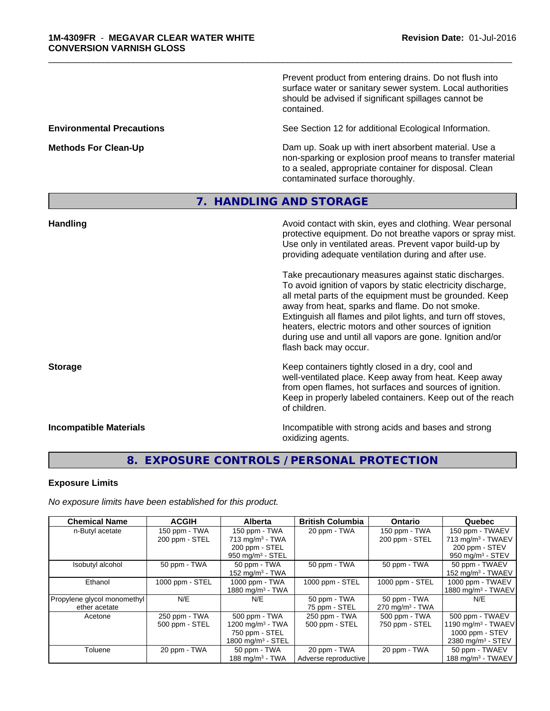Prevent product from entering drains. Do not flush into surface water or sanitary sewer system. Local authorities should be advised if significant spillages cannot be contained.

**Environmental Precautions** See Section 12 for additional Ecological Information.

\_\_\_\_\_\_\_\_\_\_\_\_\_\_\_\_\_\_\_\_\_\_\_\_\_\_\_\_\_\_\_\_\_\_\_\_\_\_\_\_\_\_\_\_\_\_\_\_\_\_\_\_\_\_\_\_\_\_\_\_\_\_\_\_\_\_\_\_\_\_\_\_\_\_\_\_\_\_\_\_\_\_\_\_\_\_\_\_\_\_\_\_\_

**Methods For Clean-Up Dam up. Soak up with inert absorbent material. Use a** non-sparking or explosion proof means to transfer material to a sealed, appropriate container for disposal. Clean contaminated surface thoroughly.

# **7. HANDLING AND STORAGE**

| <b>Handling</b>               | Avoid contact with skin, eyes and clothing. Wear personal<br>protective equipment. Do not breathe vapors or spray mist.<br>Use only in ventilated areas. Prevent vapor build-up by<br>providing adequate ventilation during and after use.                                                                                                                                                                                                           |
|-------------------------------|------------------------------------------------------------------------------------------------------------------------------------------------------------------------------------------------------------------------------------------------------------------------------------------------------------------------------------------------------------------------------------------------------------------------------------------------------|
|                               | Take precautionary measures against static discharges.<br>To avoid ignition of vapors by static electricity discharge,<br>all metal parts of the equipment must be grounded. Keep<br>away from heat, sparks and flame. Do not smoke.<br>Extinguish all flames and pilot lights, and turn off stoves,<br>heaters, electric motors and other sources of ignition<br>during use and until all vapors are gone. Ignition and/or<br>flash back may occur. |
| <b>Storage</b>                | Keep containers tightly closed in a dry, cool and<br>well-ventilated place. Keep away from heat. Keep away<br>from open flames, hot surfaces and sources of ignition.<br>Keep in properly labeled containers. Keep out of the reach<br>of children.                                                                                                                                                                                                  |
| <b>Incompatible Materials</b> | Incompatible with strong acids and bases and strong<br>oxidizing agents.                                                                                                                                                                                                                                                                                                                                                                             |

# **8. EXPOSURE CONTROLS / PERSONAL PROTECTION**

#### **Exposure Limits**

*No exposure limits have been established for this product.*

| <b>Chemical Name</b>        | <b>ACGIH</b>    | <b>Alberta</b>                | <b>British Columbia</b> | <b>Ontario</b>             | Quebec                          |
|-----------------------------|-----------------|-------------------------------|-------------------------|----------------------------|---------------------------------|
| n-Butyl acetate             | 150 ppm - TWA   | 150 ppm - TWA                 | 20 ppm - TWA            | 150 ppm - TWA              | 150 ppm - TWAEV                 |
|                             | 200 ppm - STEL  | $713$ mg/m <sup>3</sup> - TWA |                         | 200 ppm - STEL             | $713$ mg/m <sup>3</sup> - TWAEV |
|                             |                 | 200 ppm - STEL                |                         |                            | 200 ppm - STEV                  |
|                             |                 | 950 mg/m <sup>3</sup> - STEL  |                         |                            | 950 mg/m $3 -$ STEV             |
| Isobutyl alcohol            | 50 ppm - TWA    | 50 ppm - TWA                  | 50 ppm - TWA            | 50 ppm - TWA               | 50 ppm - TWAEV                  |
|                             |                 | 152 mg/m <sup>3</sup> - TWA   |                         |                            | 152 mg/m <sup>3</sup> - TWAEV   |
| Ethanol                     | 1000 ppm - STEL | 1000 ppm - TWA                | 1000 ppm - STEL         | 1000 ppm - STEL            | 1000 ppm - TWAEV                |
|                             |                 | 1880 mg/m <sup>3</sup> - TWA  |                         |                            | 1880 mg/m <sup>3</sup> - TWAEV  |
| Propylene glycol monomethyl | N/E             | N/E                           | 50 ppm - TWA            | 50 ppm - TWA               | N/E                             |
| ether acetate               |                 |                               | 75 ppm - STEL           | $270 \text{ mg/m}^3$ - TWA |                                 |
| Acetone                     | 250 ppm - TWA   | 500 ppm - TWA                 | 250 ppm - TWA           | 500 ppm - TWA              | 500 ppm - TWAEV                 |
|                             | 500 ppm - STEL  | 1200 mg/m $3$ - TWA           | 500 ppm - STEL          | 750 ppm - STEL             | 1190 mg/m <sup>3</sup> - TWAEV  |
|                             |                 | 750 ppm - STEL                |                         |                            | 1000 ppm - STEV                 |
|                             |                 | 1800 mg/m $3 -$ STEL          |                         |                            | 2380 mg/m <sup>3</sup> - STEV   |
| Toluene                     | 20 ppm - TWA    | 50 ppm - TWA                  | 20 ppm - TWA            | 20 ppm - TWA               | 50 ppm - TWAEV                  |
|                             |                 | 188 mg/m $3$ - TWA            | Adverse reproductive    |                            | 188 mg/m <sup>3</sup> - TWAEV   |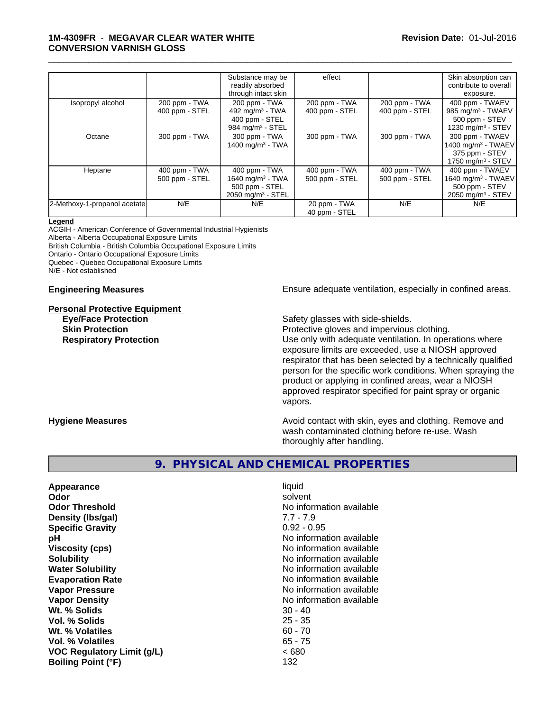### **1M-4309FR** - **MEGAVAR CLEAR WATER WHITE CONVERSION VARNISH GLOSS**

|                              |                | Substance may be<br>readily absorbed | effect         |                | Skin absorption can<br>contribute to overall |
|------------------------------|----------------|--------------------------------------|----------------|----------------|----------------------------------------------|
|                              |                | through intact skin                  |                |                | exposure.                                    |
| Isopropyl alcohol            | 200 ppm - TWA  | 200 ppm - TWA                        | 200 ppm - TWA  | 200 ppm - TWA  | 400 ppm - TWAEV                              |
|                              | 400 ppm - STEL | 492 mg/m $3$ - TWA                   | 400 ppm - STEL | 400 ppm - STEL | 985 mg/m <sup>3</sup> - TWAEV                |
|                              |                | 400 ppm - STEL                       |                |                | 500 ppm - STEV                               |
|                              |                | 984 mg/m <sup>3</sup> - STEL         |                |                | 1230 mg/m <sup>3</sup> - STEV                |
| Octane                       | 300 ppm - TWA  | 300 ppm - TWA                        | 300 ppm - TWA  | 300 ppm - TWA  | 300 ppm - TWAEV                              |
|                              |                | 1400 mg/m <sup>3</sup> - TWA         |                |                | 1400 mg/m <sup>3</sup> - TWAEV               |
|                              |                |                                      |                |                | 375 ppm - STEV                               |
|                              |                |                                      |                |                | 1750 mg/m $3 -$ STEV                         |
| Heptane                      | 400 ppm - TWA  | 400 ppm - TWA                        | 400 ppm - TWA  | 400 ppm - TWA  | 400 ppm - TWAEV                              |
|                              | 500 ppm - STEL | 1640 mg/m <sup>3</sup> - TWA         | 500 ppm - STEL | 500 ppm - STEL | 1640 mg/m <sup>3</sup> - TWAEV               |
|                              |                | 500 ppm - STEL                       |                |                | 500 ppm - STEV                               |
|                              |                | 2050 mg/m <sup>3</sup> - STEL        |                |                | 2050 mg/m <sup>3</sup> - STEV                |
| 2-Methoxy-1-propanol acetate | N/E            | N/E                                  | 20 ppm - TWA   | N/E            | N/E                                          |
|                              |                |                                      | 40 ppm - STEL  |                |                                              |

\_\_\_\_\_\_\_\_\_\_\_\_\_\_\_\_\_\_\_\_\_\_\_\_\_\_\_\_\_\_\_\_\_\_\_\_\_\_\_\_\_\_\_\_\_\_\_\_\_\_\_\_\_\_\_\_\_\_\_\_\_\_\_\_\_\_\_\_\_\_\_\_\_\_\_\_\_\_\_\_\_\_\_\_\_\_\_\_\_\_\_\_\_

#### **Legend**

ACGIH - American Conference of Governmental Industrial Hygienists Alberta - Alberta Occupational Exposure Limits

British Columbia - British Columbia Occupational Exposure Limits

Ontario - Ontario Occupational Exposure Limits

Quebec - Quebec Occupational Exposure Limits

N/E - Not established

#### **Personal Protective Equipment**

**Engineering Measures Ensure** Ensure adequate ventilation, especially in confined areas.

**Eye/Face Protection** Safety glasses with side-shields.

**Skin Protection Protection Protective gloves and impervious clothing. Respiratory Protection Number 1** (Use only with adequate ventilation. In operations where exposure limits are exceeded, use a NIOSH approved respirator that has been selected by a technically qualified person for the specific work conditions. When spraying the product or applying in confined areas, wear a NIOSH approved respirator specified for paint spray or organic vapors.

**Hygiene Measures Avoid contact with skin, eyes and clothing. Remove and Avoid contact with skin, eyes and clothing. Remove and Avoid contact with skin, eyes and clothing. Remove and** wash contaminated clothing before re-use. Wash thoroughly after handling.

# **9. PHYSICAL AND CHEMICAL PROPERTIES**

**Appearance** liquid **Odor** solvent **Odor Threshold No information available** No information available **Density (lbs/gal)** 7.7 - 7.9 **Specific Gravity** 0.92 - 0.95 **pH** No information available **Viscosity (cps)** No information available **Solubility** No information available **Water Solubility Water Solubility No information available Evaporation Rate No information available No information available Vapor Pressure** No information available in the North American Monte No. 1976. **Vapor Density No information available No** information available **Wt.** % Solids 30 - 40 **Vol. % Solids** 25 - 35 **Wt. % Volatiles** 60 - 70 **Vol. % Volatiles** 65 - 75 **VOC Regulatory Limit (g/L)** < 680 **Boiling Point (°F)** 132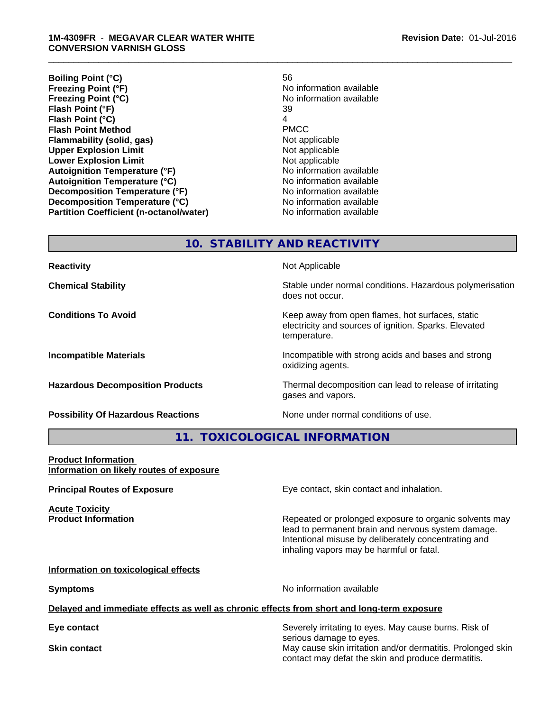#### **1M-4309FR** - **MEGAVAR CLEAR WATER WHITE CONVERSION VARNISH GLOSS**

**Boiling Point (°C)** 56<br> **Freezing Point (°F)** 56 **Freezing Point (°C)** No information available **Flash Point (°F)** 39 **Flash Point (°C)** 4 **Flash Point Method Flammability (solid, gas)** Not applicable **Upper Explosion Limit**<br> **Lower Explosion Limit**<br> **Lower Explosion Limit Lower Explosion Limit Autoignition Temperature (°F)** No information available **Autoignition Temperature (°C)** No information available **Decomposition Temperature (°F)** No information available **Decomposition Temperature (°C)**<br> **Partition Coefficient (n-octanol/water)** No information available **Partition Coefficient (n-octanol/water)** 

**No information available** 

\_\_\_\_\_\_\_\_\_\_\_\_\_\_\_\_\_\_\_\_\_\_\_\_\_\_\_\_\_\_\_\_\_\_\_\_\_\_\_\_\_\_\_\_\_\_\_\_\_\_\_\_\_\_\_\_\_\_\_\_\_\_\_\_\_\_\_\_\_\_\_\_\_\_\_\_\_\_\_\_\_\_\_\_\_\_\_\_\_\_\_\_\_

**10. STABILITY AND REACTIVITY**

| <b>Reactivity</b>                         | Not Applicable                                                                                                            |
|-------------------------------------------|---------------------------------------------------------------------------------------------------------------------------|
| <b>Chemical Stability</b>                 | Stable under normal conditions. Hazardous polymerisation<br>does not occur.                                               |
| <b>Conditions To Avoid</b>                | Keep away from open flames, hot surfaces, static<br>electricity and sources of ignition. Sparks. Elevated<br>temperature. |
| <b>Incompatible Materials</b>             | Incompatible with strong acids and bases and strong<br>oxidizing agents.                                                  |
| <b>Hazardous Decomposition Products</b>   | Thermal decomposition can lead to release of irritating<br>gases and vapors.                                              |
| <b>Possibility Of Hazardous Reactions</b> | None under normal conditions of use.                                                                                      |

**11. TOXICOLOGICAL INFORMATION**

#### **Product Information Information on likely routes of exposure**

**Principal Routes of Exposure Exposure** Eye contact, skin contact and inhalation. **Acute Toxicity Product Information Repeated or prolonged exposure to organic solvents may** lead to permanent brain and nervous system damage. Intentional misuse by deliberately concentrating and inhaling vapors may be harmful or fatal. **Information on toxicological effects Symptoms** No information available **Delayed and immediate effects as well as chronic effects from short and long-term exposure**

**Eye contact** Severely irritating to eyes. May cause burns. Risk of serious damage to eyes. **Skin contact** May cause skin irritation and/or dermatitis. Prolonged skin contact may defat the skin and produce dermatitis.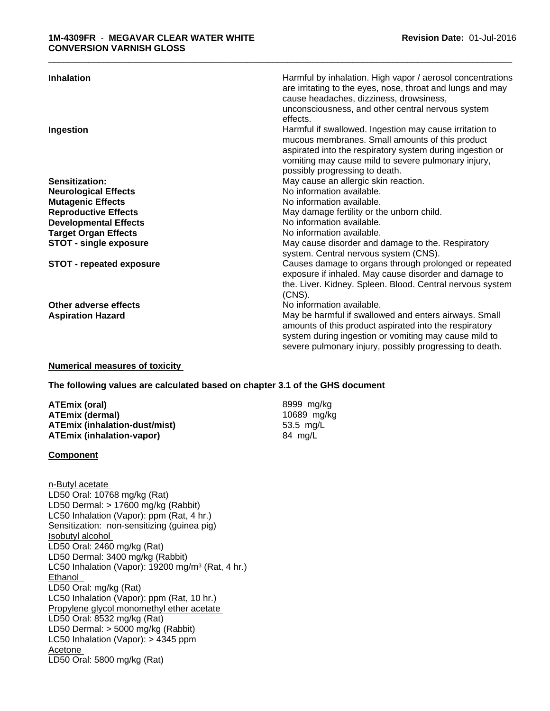| <b>Inhalation</b>               | Harmful by inhalation. High vapor / aerosol concentrations |
|---------------------------------|------------------------------------------------------------|
|                                 | are irritating to the eyes, nose, throat and lungs and may |
|                                 | cause headaches, dizziness, drowsiness,                    |
|                                 | unconsciousness, and other central nervous system          |
|                                 | effects.                                                   |
| Ingestion                       | Harmful if swallowed. Ingestion may cause irritation to    |
|                                 | mucous membranes. Small amounts of this product            |
|                                 | aspirated into the respiratory system during ingestion or  |
|                                 | vomiting may cause mild to severe pulmonary injury,        |
|                                 | possibly progressing to death.                             |
| Sensitization:                  | May cause an allergic skin reaction.                       |
| <b>Neurological Effects</b>     | No information available.                                  |
| <b>Mutagenic Effects</b>        | No information available.                                  |
| <b>Reproductive Effects</b>     | May damage fertility or the unborn child.                  |
| <b>Developmental Effects</b>    | No information available.                                  |
| <b>Target Organ Effects</b>     | No information available.                                  |
| <b>STOT - single exposure</b>   | May cause disorder and damage to the. Respiratory          |
|                                 | system. Central nervous system (CNS).                      |
| <b>STOT - repeated exposure</b> | Causes damage to organs through prolonged or repeated      |
|                                 | exposure if inhaled. May cause disorder and damage to      |
|                                 | the. Liver. Kidney. Spleen. Blood. Central nervous system  |
|                                 | $(CNS)$ .                                                  |
| Other adverse effects           | No information available.                                  |
| <b>Aspiration Hazard</b>        | May be harmful if swallowed and enters airways. Small      |
|                                 | amounts of this product aspirated into the respiratory     |
|                                 | system during ingestion or vomiting may cause mild to      |
|                                 | severe pulmonary injury, possibly progressing to death.    |

\_\_\_\_\_\_\_\_\_\_\_\_\_\_\_\_\_\_\_\_\_\_\_\_\_\_\_\_\_\_\_\_\_\_\_\_\_\_\_\_\_\_\_\_\_\_\_\_\_\_\_\_\_\_\_\_\_\_\_\_\_\_\_\_\_\_\_\_\_\_\_\_\_\_\_\_\_\_\_\_\_\_\_\_\_\_\_\_\_\_\_\_\_

### **Numerical measures of toxicity**

#### **The following values are calculated based on chapter 3.1 of the GHS document**

| ATEmix (oral)                 | 8999 mg/ka  |
|-------------------------------|-------------|
| ATEmix (dermal)               | 10689 mg/kg |
| ATEmix (inhalation-dust/mist) | 53.5 mg/L   |
| ATEmix (inhalation-vapor)     | 84 mg/L     |

#### **Component**

n-Butyl acetate LD50 Oral: 10768 mg/kg (Rat) LD50 Dermal: > 17600 mg/kg (Rabbit) LC50 Inhalation (Vapor): ppm (Rat, 4 hr.) Sensitization: non-sensitizing (guinea pig) Isobutyl alcohol LD50 Oral: 2460 mg/kg (Rat) LD50 Dermal: 3400 mg/kg (Rabbit) LC50 Inhalation (Vapor): 19200 mg/m<sup>3</sup> (Rat, 4 hr.) Ethanol LD50 Oral: mg/kg (Rat) LC50 Inhalation (Vapor): ppm (Rat, 10 hr.) Propylene glycol monomethyl ether acetate LD50 Oral: 8532 mg/kg (Rat) LD50 Dermal: > 5000 mg/kg (Rabbit) LC50 Inhalation (Vapor): > 4345 ppm Acetone LD50 Oral: 5800 mg/kg (Rat)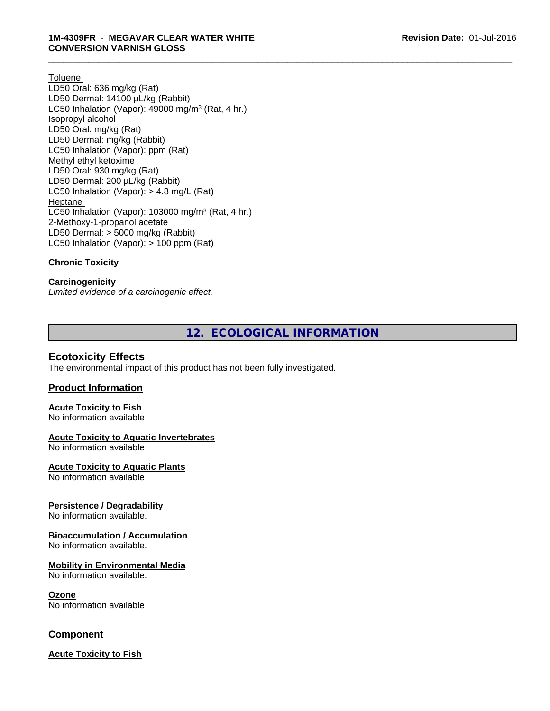#### **Toluene**

LD50 Oral: 636 mg/kg (Rat) LD50 Dermal: 14100 µL/kg (Rabbit) LC50 Inhalation (Vapor): 49000 mg/m<sup>3</sup> (Rat, 4 hr.) Isopropyl alcohol LD50 Oral: mg/kg (Rat) LD50 Dermal: mg/kg (Rabbit) LC50 Inhalation (Vapor): ppm (Rat) Methyl ethyl ketoxime LD50 Oral: 930 mg/kg (Rat) LD50 Dermal: 200 µL/kg (Rabbit) LC50 Inhalation (Vapor): > 4.8 mg/L (Rat) Heptane LC50 Inhalation (Vapor): 103000 mg/m<sup>3</sup> (Rat, 4 hr.) 2-Methoxy-1-propanol acetate LD50 Dermal: > 5000 mg/kg (Rabbit) LC50 Inhalation (Vapor): > 100 ppm (Rat)

### **Chronic Toxicity**

**Carcinogenicity** *Limited evidence of a carcinogenic effect.*

**12. ECOLOGICAL INFORMATION**

\_\_\_\_\_\_\_\_\_\_\_\_\_\_\_\_\_\_\_\_\_\_\_\_\_\_\_\_\_\_\_\_\_\_\_\_\_\_\_\_\_\_\_\_\_\_\_\_\_\_\_\_\_\_\_\_\_\_\_\_\_\_\_\_\_\_\_\_\_\_\_\_\_\_\_\_\_\_\_\_\_\_\_\_\_\_\_\_\_\_\_\_\_

## **Ecotoxicity Effects**

The environmental impact of this product has not been fully investigated.

#### **Product Information**

#### **Acute Toxicity to Fish** No information available

#### **Acute Toxicity to Aquatic Invertebrates**

No information available

**Acute Toxicity to Aquatic Plants**

No information available

#### **Persistence / Degradability**

No information available.

#### **Bioaccumulation / Accumulation**

No information available.

#### **Mobility in Environmental Media**

No information available.

#### **Ozone**

No information available

# **Component**

**Acute Toxicity to Fish**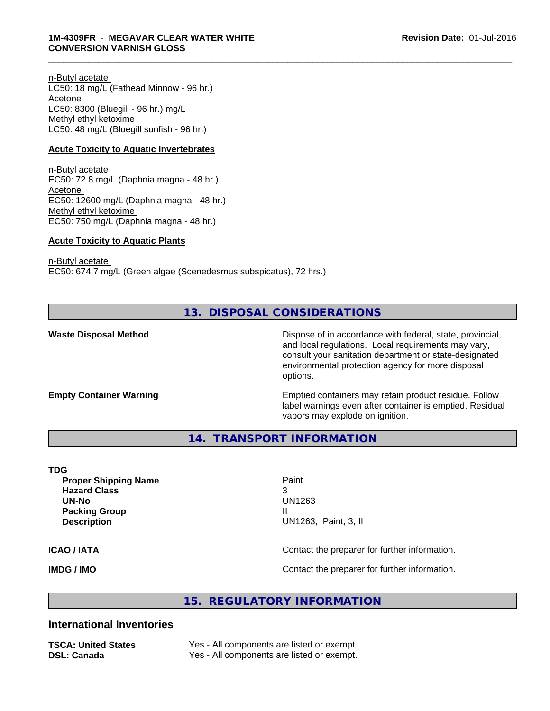n-Butyl acetate LC50: 18 mg/L (Fathead Minnow - 96 hr.) Acetone LC50: 8300 (Bluegill - 96 hr.) mg/L Methyl ethyl ketoxime LC50: 48 mg/L (Bluegill sunfish - 96 hr.)

#### **Acute Toxicity to Aquatic Invertebrates**

n-Butyl acetate EC50: 72.8 mg/L (Daphnia magna - 48 hr.) Acetone EC50: 12600 mg/L (Daphnia magna - 48 hr.) Methyl ethyl ketoxime EC50: 750 mg/L (Daphnia magna - 48 hr.)

#### **Acute Toxicity to Aquatic Plants**

n-Butyl acetate

EC50: 674.7 mg/L (Green algae (Scenedesmus subspicatus), 72 hrs.)

**13. DISPOSAL CONSIDERATIONS**

**Waste Disposal Method** Dispose of in accordance with federal, state, provincial, and local regulations. Local requirements may vary, consult your sanitation department or state-designated environmental protection agency for more disposal options.

**Empty Container Warning <b>Emptied** Containers may retain product residue. Follow label warnings even after container is emptied. Residual vapors may explode on ignition.

**14. TRANSPORT INFORMATION**

#### **TDG**

**Proper Shipping Name** Paint **Hazard Class** 3 **UN-No** UN1263 **Packing Group III Description** UN1263, Paint, 3, II

\_\_\_\_\_\_\_\_\_\_\_\_\_\_\_\_\_\_\_\_\_\_\_\_\_\_\_\_\_\_\_\_\_\_\_\_\_\_\_\_\_\_\_\_\_\_\_\_\_\_\_\_\_\_\_\_\_\_\_\_\_\_\_\_\_\_\_\_\_\_\_\_\_\_\_\_\_\_\_\_\_\_\_\_\_\_\_\_\_\_\_\_\_

**ICAO / IATA ICAO / IATA Contact the preparer for further information.** 

**IMDG / IMO IMO Contact the preparer for further information.** 

# **15. REGULATORY INFORMATION**

# **International Inventories**

**TSCA: United States** Yes - All components are listed or exempt. **DSL: Canada** Yes - All components are listed or exempt.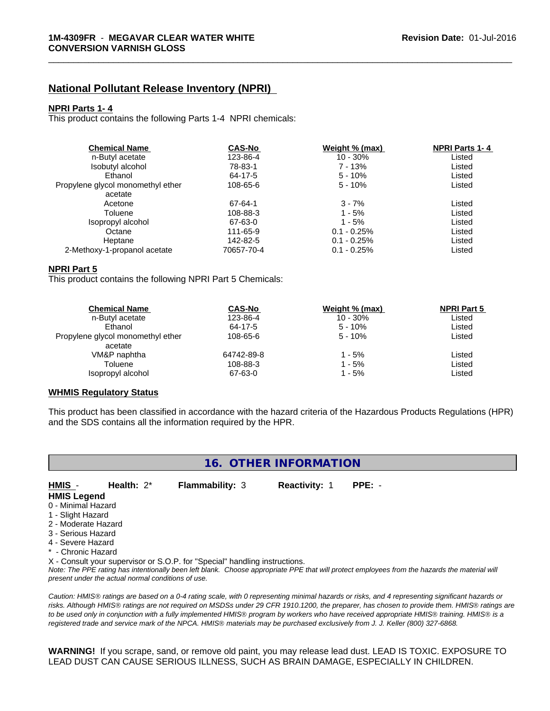# **National Pollutant Release Inventory (NPRI)**

#### **NPRI Parts 1- 4**

This product contains the following Parts 1-4 NPRI chemicals:

| <b>Chemical Name</b>              | <b>CAS-No</b> | Weight % (max) | <b>NPRI Parts 1-4</b> |  |
|-----------------------------------|---------------|----------------|-----------------------|--|
| n-Butyl acetate                   | 123-86-4      | $10 - 30%$     | Listed                |  |
| Isobutyl alcohol                  | 78-83-1       | 7 - 13%        | Listed                |  |
| Ethanol                           | 64-17-5       | $5 - 10%$      | Listed                |  |
| Propylene glycol monomethyl ether | 108-65-6      | $5 - 10%$      | Listed                |  |
| acetate                           |               |                |                       |  |
| Acetone                           | 67-64-1       | $3 - 7%$       | Listed                |  |
| Toluene                           | 108-88-3      | $1 - 5%$       | Listed                |  |
| Isopropyl alcohol                 | 67-63-0       | 1 - 5%         | Listed                |  |
| Octane                            | 111-65-9      | $0.1 - 0.25\%$ | Listed                |  |
| Heptane                           | 142-82-5      | $0.1 - 0.25\%$ | Listed                |  |
| 2-Methoxy-1-propanol acetate      | 70657-70-4    | $0.1 - 0.25%$  | Listed                |  |

\_\_\_\_\_\_\_\_\_\_\_\_\_\_\_\_\_\_\_\_\_\_\_\_\_\_\_\_\_\_\_\_\_\_\_\_\_\_\_\_\_\_\_\_\_\_\_\_\_\_\_\_\_\_\_\_\_\_\_\_\_\_\_\_\_\_\_\_\_\_\_\_\_\_\_\_\_\_\_\_\_\_\_\_\_\_\_\_\_\_\_\_\_

### **NPRI Part 5**

This product contains the following NPRI Part 5 Chemicals:

| <b>Chemical Name</b>              | <b>CAS-No</b> | Weight % (max) | <b>NPRI Part 5</b> |  |
|-----------------------------------|---------------|----------------|--------------------|--|
| n-Butyl acetate                   | 123-86-4      | $10 - 30\%$    | Listed             |  |
| Ethanol                           | 64-17-5       | $5 - 10%$      | Listed             |  |
| Propylene glycol monomethyl ether | 108-65-6      | $5 - 10%$      | Listed             |  |
| acetate                           |               |                |                    |  |
| VM&P naphtha                      | 64742-89-8    | 1 - 5%         | Listed             |  |
| Toluene                           | 108-88-3      | 1 - 5%         | Listed             |  |
| Isopropyl alcohol                 | 67-63-0       | 1 - 5%         | Listed             |  |
|                                   |               |                |                    |  |

#### **WHMIS Regulatory Status**

This product has been classified in accordance with the hazard criteria of the Hazardous Products Regulations (HPR) and the SDS contains all the information required by the HPR.

| 16. OTHER INFORMATION |                                                    |                                                                            |                      |                                                                                                                                                 |  |
|-----------------------|----------------------------------------------------|----------------------------------------------------------------------------|----------------------|-------------------------------------------------------------------------------------------------------------------------------------------------|--|
| HMIS -                | Health: $2^*$                                      | <b>Flammability: 3</b>                                                     | <b>Reactivity: 1</b> | $PPE: -$                                                                                                                                        |  |
| <b>HMIS Legend</b>    |                                                    |                                                                            |                      |                                                                                                                                                 |  |
| 0 - Minimal Hazard    |                                                    |                                                                            |                      |                                                                                                                                                 |  |
| 1 - Slight Hazard     |                                                    |                                                                            |                      |                                                                                                                                                 |  |
| 2 - Moderate Hazard   |                                                    |                                                                            |                      |                                                                                                                                                 |  |
| 3 - Serious Hazard    |                                                    |                                                                            |                      |                                                                                                                                                 |  |
| 4 - Severe Hazard     |                                                    |                                                                            |                      |                                                                                                                                                 |  |
| * - Chronic Hazard    |                                                    |                                                                            |                      |                                                                                                                                                 |  |
|                       |                                                    | X - Consult your supervisor or S.O.P. for "Special" handling instructions. |                      |                                                                                                                                                 |  |
|                       | present under the actual normal conditions of use. |                                                                            |                      | Note: The PPE rating has intentionally been left blank. Choose appropriate PPE that will protect employees from the hazards the material will   |  |
|                       |                                                    |                                                                            |                      | Caution: HMIS® ratings are based on a 0-4 rating scale, with 0 representing minimal hazards or risks, and 4 representing significant hazards or |  |
|                       |                                                    |                                                                            |                      | risks. Although HMIS® ratings are not required on MSDSs under 29 CFR 1910.1200, the preparer, has chosen to provide them. HMIS® ratings are     |  |
|                       |                                                    |                                                                            |                      | to be used only in conjunction with a fully implemented HMIS® program by workers who have received appropriate HMIS® training. HMIS® is a       |  |
|                       |                                                    |                                                                            |                      | registered trade and service mark of the NPCA. HMIS® materials may be purchased exclusively from J. J. Keller (800) 327-6868.                   |  |

**WARNING!** If you scrape, sand, or remove old paint, you may release lead dust. LEAD IS TOXIC. EXPOSURE TO LEAD DUST CAN CAUSE SERIOUS ILLNESS, SUCH AS BRAIN DAMAGE, ESPECIALLY IN CHILDREN.